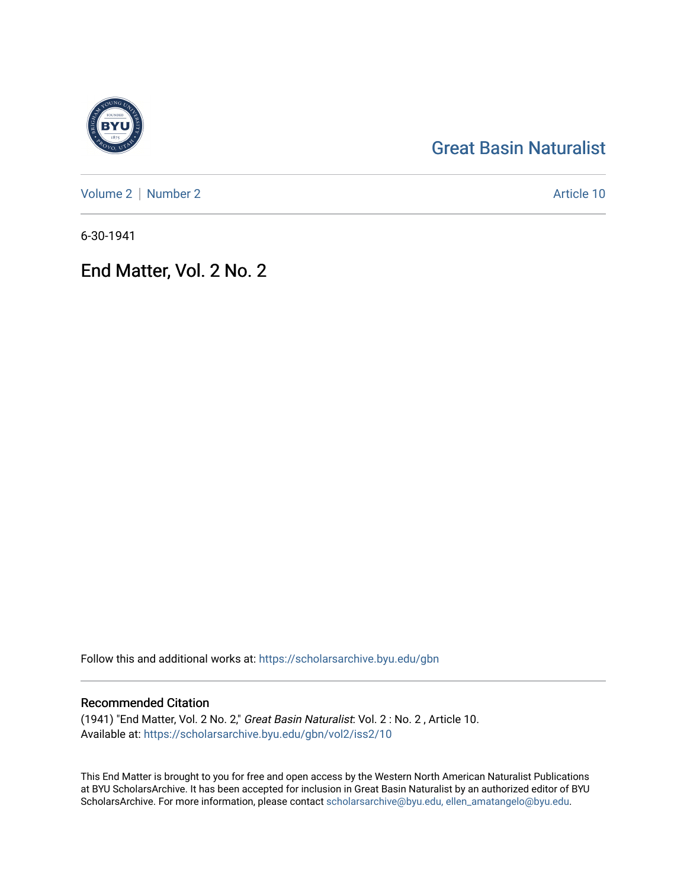# [Great Basin Naturalist](https://scholarsarchive.byu.edu/gbn)

[Volume 2](https://scholarsarchive.byu.edu/gbn/vol2) | [Number 2](https://scholarsarchive.byu.edu/gbn/vol2/iss2) Article 10

6-30-1941

## End Matter, Vol. 2 No. 2

Follow this and additional works at: [https://scholarsarchive.byu.edu/gbn](https://scholarsarchive.byu.edu/gbn?utm_source=scholarsarchive.byu.edu%2Fgbn%2Fvol2%2Fiss2%2F10&utm_medium=PDF&utm_campaign=PDFCoverPages) 

## Recommended Citation

(1941) "End Matter, Vol. 2 No. 2," Great Basin Naturalist: Vol. 2 : No. 2 , Article 10. Available at: [https://scholarsarchive.byu.edu/gbn/vol2/iss2/10](https://scholarsarchive.byu.edu/gbn/vol2/iss2/10?utm_source=scholarsarchive.byu.edu%2Fgbn%2Fvol2%2Fiss2%2F10&utm_medium=PDF&utm_campaign=PDFCoverPages)

This End Matter is brought to you for free and open access by the Western North American Naturalist Publications at BYU ScholarsArchive. It has been accepted for inclusion in Great Basin Naturalist by an authorized editor of BYU ScholarsArchive. For more information, please contact [scholarsarchive@byu.edu, ellen\\_amatangelo@byu.edu.](mailto:scholarsarchive@byu.edu,%20ellen_amatangelo@byu.edu)